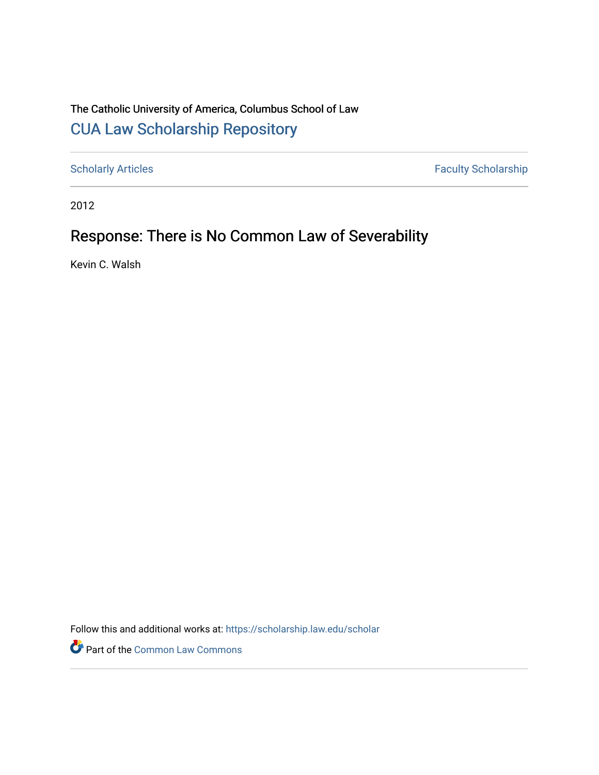## The Catholic University of America, Columbus School of Law [CUA Law Scholarship Repository](https://scholarship.law.edu/)

[Scholarly Articles](https://scholarship.law.edu/scholar) Faculty Scholarship

2012

# Response: There is No Common Law of Severability

Kevin C. Walsh

Follow this and additional works at: [https://scholarship.law.edu/scholar](https://scholarship.law.edu/scholar?utm_source=scholarship.law.edu%2Fscholar%2F1070&utm_medium=PDF&utm_campaign=PDFCoverPages)

Part of the [Common Law Commons](https://network.bepress.com/hgg/discipline/1120?utm_source=scholarship.law.edu%2Fscholar%2F1070&utm_medium=PDF&utm_campaign=PDFCoverPages)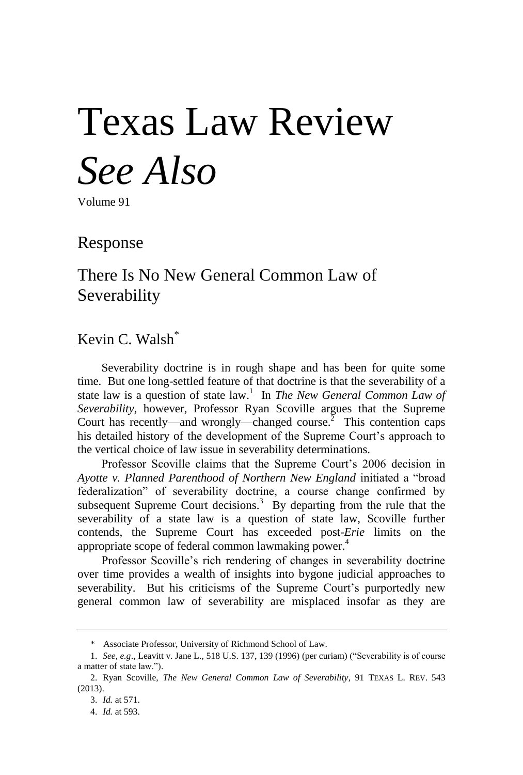# Texas Law Review *See Also*

Volume 91

Response

There Is No New General Common Law of Severability

Kevin C. Walsh\*

Severability doctrine is in rough shape and has been for quite some time. But one long-settled feature of that doctrine is that the severability of a state law is a question of state law.<sup>1</sup> In *The New General Common Law of Severability*, however, Professor Ryan Scoville argues that the Supreme Court has recently—and wrongly—changed course.<sup>2</sup> This contention caps his detailed history of the development of the Supreme Court's approach to the vertical choice of law issue in severability determinations.

Professor Scoville claims that the Supreme Court's 2006 decision in *Ayotte v. Planned Parenthood of Northern New England* initiated a "broad federalization" of severability doctrine, a course change confirmed by subsequent Supreme Court decisions.<sup>3</sup> By departing from the rule that the severability of a state law is a question of state law, Scoville further contends, the Supreme Court has exceeded post-*Erie* limits on the appropriate scope of federal common lawmaking power.<sup>4</sup>

Professor Scoville's rich rendering of changes in severability doctrine over time provides a wealth of insights into bygone judicial approaches to severability. But his criticisms of the Supreme Court's purportedly new general common law of severability are misplaced insofar as they are

<sup>\*</sup> Associate Professor, University of Richmond School of Law.

<sup>1.</sup> *See, e.g*., Leavitt v. Jane L., 518 U.S. 137, 139 (1996) (per curiam) ("Severability is of course a matter of state law.").

<sup>2.</sup> Ryan Scoville, *The New General Common Law of Severability*, 91 TEXAS L. REV. 543 (2013).

<sup>3.</sup> *Id.* at 571.

<sup>4.</sup> *Id.* at 593.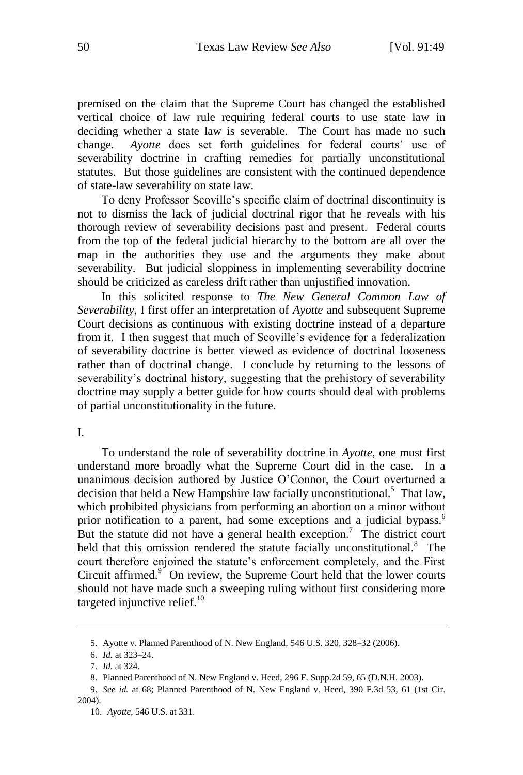premised on the claim that the Supreme Court has changed the established vertical choice of law rule requiring federal courts to use state law in deciding whether a state law is severable. The Court has made no such change. *Ayotte* does set forth guidelines for federal courts' use of severability doctrine in crafting remedies for partially unconstitutional statutes. But those guidelines are consistent with the continued dependence of state-law severability on state law.

To deny Professor Scoville's specific claim of doctrinal discontinuity is not to dismiss the lack of judicial doctrinal rigor that he reveals with his thorough review of severability decisions past and present. Federal courts from the top of the federal judicial hierarchy to the bottom are all over the map in the authorities they use and the arguments they make about severability. But judicial sloppiness in implementing severability doctrine should be criticized as careless drift rather than unjustified innovation.

In this solicited response to *The New General Common Law of Severability*, I first offer an interpretation of *Ayotte* and subsequent Supreme Court decisions as continuous with existing doctrine instead of a departure from it. I then suggest that much of Scoville's evidence for a federalization of severability doctrine is better viewed as evidence of doctrinal looseness rather than of doctrinal change. I conclude by returning to the lessons of severability's doctrinal history, suggesting that the prehistory of severability doctrine may supply a better guide for how courts should deal with problems of partial unconstitutionality in the future.

#### I.

To understand the role of severability doctrine in *Ayotte*, one must first understand more broadly what the Supreme Court did in the case. In a unanimous decision authored by Justice O'Connor, the Court overturned a decision that held a New Hampshire law facially unconstitutional.<sup>5</sup> That law, which prohibited physicians from performing an abortion on a minor without prior notification to a parent, had some exceptions and a judicial bypass.<sup>6</sup> But the statute did not have a general health exception.<sup>7</sup> The district court held that this omission rendered the statute facially unconstitutional.<sup>8</sup> The court therefore enjoined the statute's enforcement completely, and the First Circuit affirmed.<sup>9</sup> On review, the Supreme Court held that the lower courts should not have made such a sweeping ruling without first considering more targeted injunctive relief. $10<sup>10</sup>$ 

<sup>5.</sup> Ayotte v. Planned Parenthood of N. New England, 546 U.S. 320, 328–32 (2006).

<sup>6.</sup> *Id.* at 323–24.

<sup>7.</sup> *Id.* at 324.

<sup>8.</sup> Planned Parenthood of N. New England v. Heed, 296 F. Supp.2d 59, 65 (D.N.H. 2003).

<sup>9.</sup> *See id.* at 68; Planned Parenthood of N. New England v. Heed, 390 F.3d 53, 61 (1st Cir. 2004).

<sup>10.</sup> *Ayotte*, 546 U.S. at 331.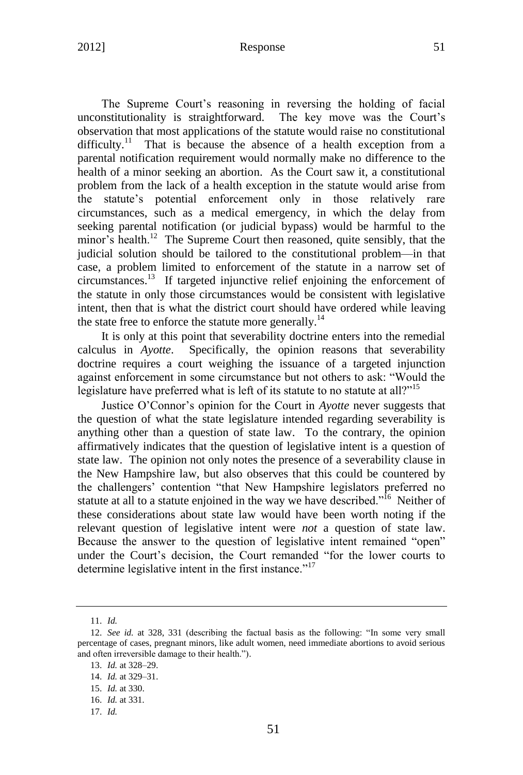## 2012] Response 51

The Supreme Court's reasoning in reversing the holding of facial unconstitutionality is straightforward. The key move was the Court's observation that most applications of the statute would raise no constitutional difficulty.<sup>11</sup> That is because the absence of a health exception from a parental notification requirement would normally make no difference to the health of a minor seeking an abortion. As the Court saw it, a constitutional problem from the lack of a health exception in the statute would arise from the statute's potential enforcement only in those relatively rare circumstances, such as a medical emergency, in which the delay from seeking parental notification (or judicial bypass) would be harmful to the minor's health.<sup>12</sup> The Supreme Court then reasoned, quite sensibly, that the judicial solution should be tailored to the constitutional problem—in that case, a problem limited to enforcement of the statute in a narrow set of circumstances.<sup>13</sup> If targeted injunctive relief enjoining the enforcement of the statute in only those circumstances would be consistent with legislative intent, then that is what the district court should have ordered while leaving the state free to enforce the statute more generally.<sup>14</sup>

It is only at this point that severability doctrine enters into the remedial calculus in *Ayotte*. Specifically, the opinion reasons that severability doctrine requires a court weighing the issuance of a targeted injunction against enforcement in some circumstance but not others to ask: "Would the legislature have preferred what is left of its statute to no statute at all?"<sup>15</sup>

Justice O'Connor's opinion for the Court in *Ayotte* never suggests that the question of what the state legislature intended regarding severability is anything other than a question of state law. To the contrary, the opinion affirmatively indicates that the question of legislative intent is a question of state law. The opinion not only notes the presence of a severability clause in the New Hampshire law, but also observes that this could be countered by the challengers' contention "that New Hampshire legislators preferred no statute at all to a statute enjoined in the way we have described."<sup>16</sup> Neither of these considerations about state law would have been worth noting if the relevant question of legislative intent were *not* a question of state law. Because the answer to the question of legislative intent remained "open" under the Court's decision, the Court remanded "for the lower courts to determine legislative intent in the first instance."<sup>17</sup>

<sup>11.</sup> *Id.*

<sup>12.</sup> *See id.* at 328, 331 (describing the factual basis as the following: "In some very small percentage of cases, pregnant minors, like adult women, need immediate abortions to avoid serious and often irreversible damage to their health.").

<sup>13.</sup> *Id.* at 328–29.

<sup>14.</sup> *Id.* at 329–31.

<sup>15.</sup> *Id.* at 330.

<sup>16.</sup> *Id.* at 331.

<sup>17.</sup> *Id.*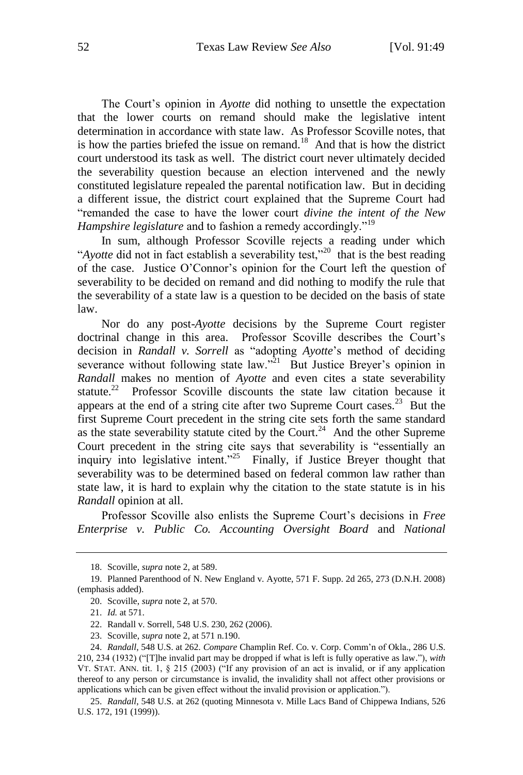The Court's opinion in *Ayotte* did nothing to unsettle the expectation that the lower courts on remand should make the legislative intent determination in accordance with state law. As Professor Scoville notes, that is how the parties briefed the issue on remand.<sup>18</sup> And that is how the district court understood its task as well. The district court never ultimately decided the severability question because an election intervened and the newly constituted legislature repealed the parental notification law. But in deciding a different issue, the district court explained that the Supreme Court had "remanded the case to have the lower court *divine the intent of the New Hampshire legislature* and to fashion a remedy accordingly."<sup>19</sup>

In sum, although Professor Scoville rejects a reading under which "*Ayotte* did not in fact establish a severability test,"<sup>20</sup> that is the best reading of the case. Justice O'Connor's opinion for the Court left the question of severability to be decided on remand and did nothing to modify the rule that the severability of a state law is a question to be decided on the basis of state law.

Nor do any post-*Ayotte* decisions by the Supreme Court register doctrinal change in this area. Professor Scoville describes the Court's decision in *Randall v. Sorrell* as "adopting *Ayotte*'s method of deciding severance without following state law."<sup>21</sup> But Justice Breyer's opinion in *Randall* makes no mention of *Ayotte* and even cites a state severability statute.<sup>22</sup> Professor Scoville discounts the state law citation because it appears at the end of a string cite after two Supreme Court cases.<sup>23</sup> But the first Supreme Court precedent in the string cite sets forth the same standard as the state severability statute cited by the Court.<sup>24</sup> And the other Supreme Court precedent in the string cite says that severability is "essentially an inquiry into legislative intent."<sup>25</sup> Finally, if Justice Breyer thought that severability was to be determined based on federal common law rather than state law, it is hard to explain why the citation to the state statute is in his *Randall* opinion at all.

Professor Scoville also enlists the Supreme Court's decisions in *Free Enterprise v. Public Co. Accounting Oversight Board* and *National* 

<sup>18.</sup> Scoville, *supra* note 2, at 589.

<sup>19.</sup> Planned Parenthood of N. New England v. Ayotte, 571 F. Supp. 2d 265, 273 (D.N.H. 2008) (emphasis added).

<sup>20.</sup> Scoville, *supra* note 2, at 570.

<sup>21.</sup> *Id.* at 571.

<sup>22.</sup> Randall v. Sorrell, 548 U.S. 230, 262 (2006).

<sup>23.</sup> Scoville, *supra* note 2, at 571 n.190.

<sup>24.</sup> *Randall*, 548 U.S. at 262. *Compare* Champlin Ref. Co. v. Corp. Comm'n of Okla., 286 U.S. 210, 234 (1932) ("[T]he invalid part may be dropped if what is left is fully operative as law."), *with*  VT. STAT. ANN. tit. 1, § 215 (2003) ("If any provision of an act is invalid, or if any application thereof to any person or circumstance is invalid, the invalidity shall not affect other provisions or applications which can be given effect without the invalid provision or application.").

<sup>25.</sup> *Randall*, 548 U.S. at 262 (quoting Minnesota v. Mille Lacs Band of Chippewa Indians, 526 U.S. 172, 191 (1999)).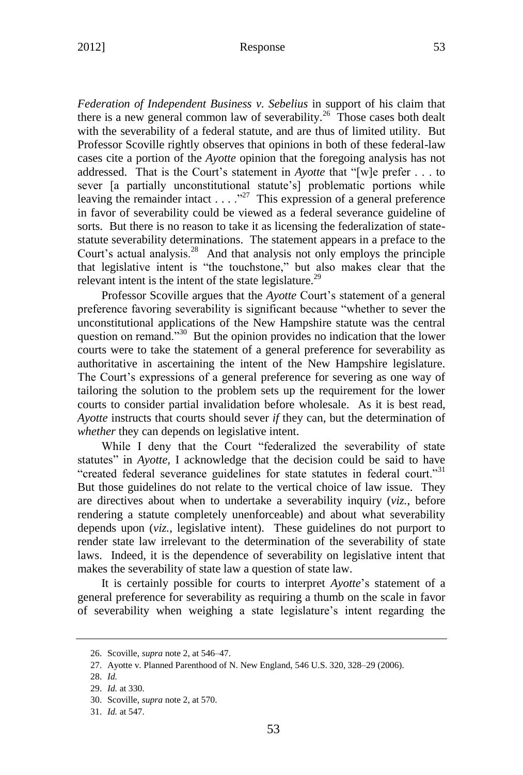### 2012] Response 53

*Federation of Independent Business v. Sebelius* in support of his claim that there is a new general common law of severability.<sup>26</sup> Those cases both dealt with the severability of a federal statute, and are thus of limited utility. But Professor Scoville rightly observes that opinions in both of these federal-law cases cite a portion of the *Ayotte* opinion that the foregoing analysis has not addressed. That is the Court's statement in *Ayotte* that "[w]e prefer . . . to sever [a partially unconstitutional statute's] problematic portions while leaving the remainder intact  $\dots$   $\cdot$   $\cdot$  This expression of a general preference in favor of severability could be viewed as a federal severance guideline of sorts. But there is no reason to take it as licensing the federalization of statestatute severability determinations. The statement appears in a preface to the Court's actual analysis.<sup>28</sup> And that analysis not only employs the principle that legislative intent is "the touchstone," but also makes clear that the relevant intent is the intent of the state legislature.<sup>29</sup>

Professor Scoville argues that the *Ayotte* Court's statement of a general preference favoring severability is significant because "whether to sever the unconstitutional applications of the New Hampshire statute was the central question on remand."<sup>30</sup> But the opinion provides no indication that the lower courts were to take the statement of a general preference for severability as authoritative in ascertaining the intent of the New Hampshire legislature. The Court's expressions of a general preference for severing as one way of tailoring the solution to the problem sets up the requirement for the lower courts to consider partial invalidation before wholesale. As it is best read, *Ayotte* instructs that courts should sever *if* they can, but the determination of *whether* they can depends on legislative intent.

While I deny that the Court "federalized the severability of state statutes" in *Ayotte,* I acknowledge that the decision could be said to have "created federal severance guidelines for state statutes in federal court."<sup>31</sup> But those guidelines do not relate to the vertical choice of law issue. They are directives about when to undertake a severability inquiry (*viz.*, before rendering a statute completely unenforceable) and about what severability depends upon (*viz.*, legislative intent). These guidelines do not purport to render state law irrelevant to the determination of the severability of state laws. Indeed, it is the dependence of severability on legislative intent that makes the severability of state law a question of state law.

It is certainly possible for courts to interpret *Ayotte*'s statement of a general preference for severability as requiring a thumb on the scale in favor of severability when weighing a state legislature's intent regarding the

<sup>26.</sup> Scoville, *supra* note 2, at 546–47.

<sup>27.</sup> Ayotte v. Planned Parenthood of N. New England, 546 U.S. 320, 328–29 (2006).

<sup>28.</sup> *Id.*

<sup>29.</sup> *Id.* at 330.

<sup>30.</sup> Scoville, *supra* note 2, at 570.

<sup>31.</sup> *Id.* at 547.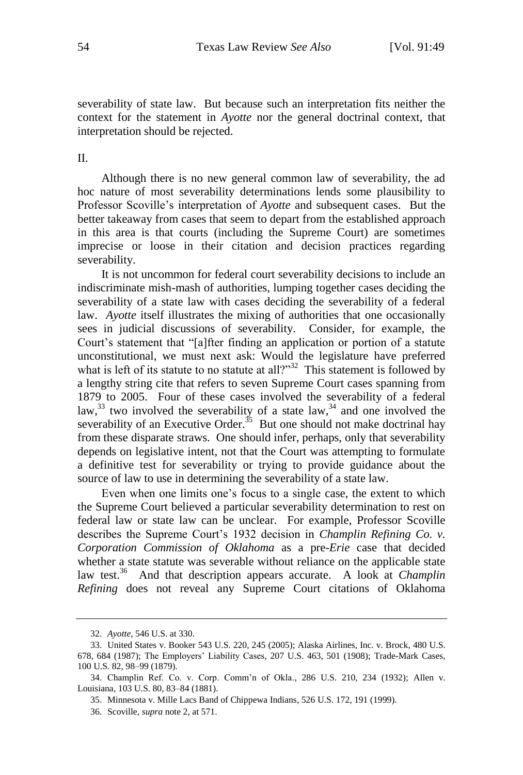severability of state law. But because such an interpretation fits neither the context for the statement in *Ayotte* nor the general doctrinal context, that interpretation should be rejected.

II.

Although there is no new general common law of severability, the ad hoc nature of most severability determinations lends some plausibility to Professor Scoville's interpretation of *Ayotte* and subsequent cases. But the better takeaway from cases that seem to depart from the established approach in this area is that courts (including the Supreme Court) are sometimes imprecise or loose in their citation and decision practices regarding severability.

It is not uncommon for federal court severability decisions to include an indiscriminate mish-mash of authorities, lumping together cases deciding the severability of a state law with cases deciding the severability of a federal law. *Ayotte* itself illustrates the mixing of authorities that one occasionally sees in judicial discussions of severability. Consider, for example, the Court's statement that "[a]fter finding an application or portion of a statute unconstitutional, we must next ask: Would the legislature have preferred what is left of its statute to no statute at all?" $32$  This statement is followed by a lengthy string cite that refers to seven Supreme Court cases spanning from 1879 to 2005. Four of these cases involved the severability of a federal law,  $33$  two involved the severability of a state law,  $34$  and one involved the severability of an Executive Order.<sup>35</sup> But one should not make doctrinal hay from these disparate straws. One should infer, perhaps, only that severability depends on legislative intent, not that the Court was attempting to formulate a definitive test for severability or trying to provide guidance about the source of law to use in determining the severability of a state law.

Even when one limits one's focus to a single case, the extent to which the Supreme Court believed a particular severability determination to rest on federal law or state law can be unclear. For example, Professor Scoville describes the Supreme Court's 1932 decision in *Champlin Refining Co. v. Corporation Commission of Oklahoma* as a pre-*Erie* case that decided whether a state statute was severable without reliance on the applicable state law test.<sup>36</sup> And that description appears accurate. A look at *Champlin Refining* does not reveal any Supreme Court citations of Oklahoma

<sup>32.</sup> *Ayotte*, 546 U.S. at 330.

<sup>33.</sup> United States v. Booker 543 U.S. 220, 245 (2005); Alaska Airlines, Inc. v. Brock, 480 U.S. 678, 684 (1987); The Employers' Liability Cases, 207 U.S. 463, 501 (1908); Trade-Mark Cases, 100 U.S. 82, 98–99 (1879).

<sup>34.</sup> Champlin Ref. Co. v. Corp. Comm'n of Okla., 286 U.S. 210, 234 (1932); Allen v. Louisiana, 103 U.S. 80, 83–84 (1881).

<sup>35.</sup> Minnesota v. Mille Lacs Band of Chippewa Indians, 526 U.S. 172, 191 (1999).

<sup>36.</sup> Scoville, *supra* note 2, at 571.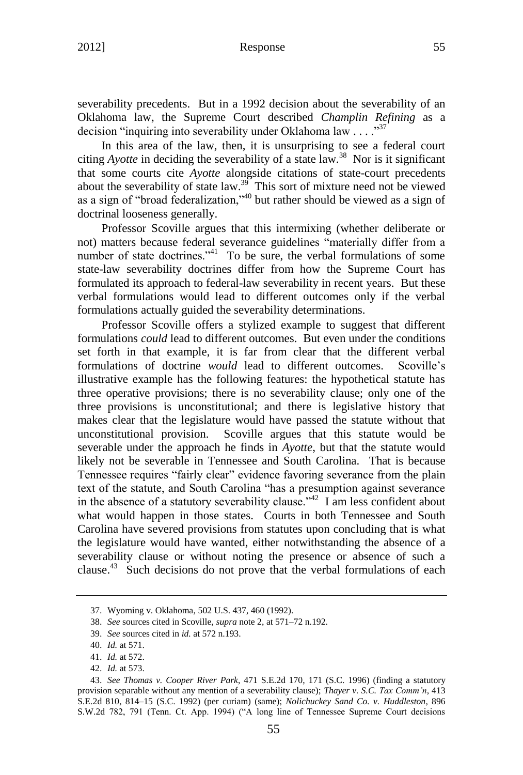### 2012] Response 55

severability precedents. But in a 1992 decision about the severability of an Oklahoma law, the Supreme Court described *Champlin Refining* as a decision "inquiring into severability under Oklahoma law  $\dots$ ."<sup>37</sup>

In this area of the law, then, it is unsurprising to see a federal court citing *Ayotte* in deciding the severability of a state law.<sup>38</sup> Nor is it significant that some courts cite *Ayotte* alongside citations of state-court precedents about the severability of state law.<sup>39</sup> This sort of mixture need not be viewed as a sign of "broad federalization,"<sup>40</sup> but rather should be viewed as a sign of doctrinal looseness generally.

Professor Scoville argues that this intermixing (whether deliberate or not) matters because federal severance guidelines "materially differ from a number of state doctrines."<sup>41</sup> To be sure, the verbal formulations of some state-law severability doctrines differ from how the Supreme Court has formulated its approach to federal-law severability in recent years. But these verbal formulations would lead to different outcomes only if the verbal formulations actually guided the severability determinations.

Professor Scoville offers a stylized example to suggest that different formulations *could* lead to different outcomes. But even under the conditions set forth in that example, it is far from clear that the different verbal formulations of doctrine *would* lead to different outcomes. Scoville's illustrative example has the following features: the hypothetical statute has three operative provisions; there is no severability clause; only one of the three provisions is unconstitutional; and there is legislative history that makes clear that the legislature would have passed the statute without that unconstitutional provision. Scoville argues that this statute would be severable under the approach he finds in *Ayotte*, but that the statute would likely not be severable in Tennessee and South Carolina. That is because Tennessee requires "fairly clear" evidence favoring severance from the plain text of the statute, and South Carolina "has a presumption against severance in the absence of a statutory severability clause.<sup> $342$ </sup> I am less confident about what would happen in those states. Courts in both Tennessee and South Carolina have severed provisions from statutes upon concluding that is what the legislature would have wanted, either notwithstanding the absence of a severability clause or without noting the presence or absence of such a clause.<sup>43</sup> Such decisions do not prove that the verbal formulations of each

<sup>37.</sup> Wyoming v. Oklahoma, 502 U.S. 437, 460 (1992).

<sup>38.</sup> *See* sources cited in Scoville, *supra* note 2, at 571–72 n.192.

<sup>39.</sup> *See* sources cited in *id.* at 572 n.193.

<sup>40.</sup> *Id.* at 571.

<sup>41.</sup> *Id.* at 572.

<sup>42.</sup> *Id.* at 573.

<sup>43.</sup> *See Thomas v. Cooper River Park*, 471 S.E.2d 170, 171 (S.C. 1996) (finding a statutory provision separable without any mention of a severability clause); *Thayer v. S.C. Tax Comm'n*, 413 S.E.2d 810, 814–15 (S.C. 1992) (per curiam) (same); *Nolichuckey Sand Co. v. Huddleston*, 896 S.W.2d 782, 791 (Tenn. Ct. App. 1994) ("A long line of Tennessee Supreme Court decisions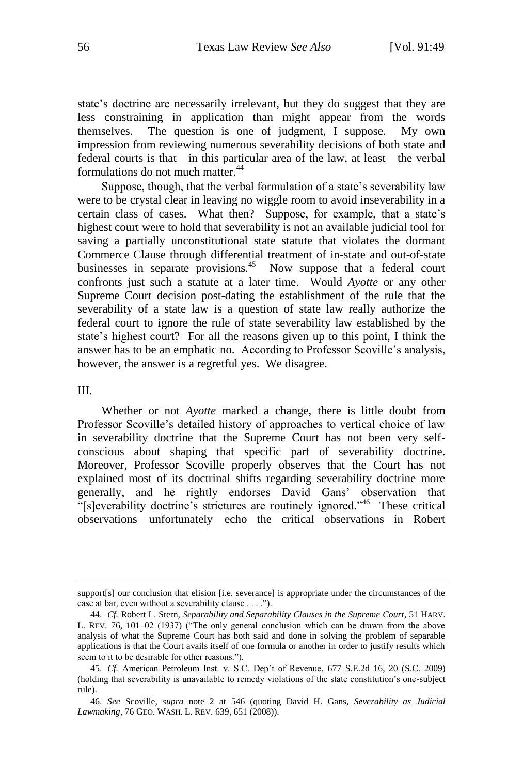state's doctrine are necessarily irrelevant, but they do suggest that they are less constraining in application than might appear from the words themselves. The question is one of judgment, I suppose. My own impression from reviewing numerous severability decisions of both state and federal courts is that—in this particular area of the law, at least—the verbal formulations do not much matter.<sup>44</sup>

Suppose, though, that the verbal formulation of a state's severability law were to be crystal clear in leaving no wiggle room to avoid inseverability in a certain class of cases. What then? Suppose, for example, that a state's highest court were to hold that severability is not an available judicial tool for saving a partially unconstitutional state statute that violates the dormant Commerce Clause through differential treatment of in-state and out-of-state businesses in separate provisions.<sup>45</sup> Now suppose that a federal court confronts just such a statute at a later time. Would *Ayotte* or any other Supreme Court decision post-dating the establishment of the rule that the severability of a state law is a question of state law really authorize the federal court to ignore the rule of state severability law established by the state's highest court? For all the reasons given up to this point, I think the answer has to be an emphatic no. According to Professor Scoville's analysis, however, the answer is a regretful yes. We disagree.

#### III.

Whether or not *Ayotte* marked a change, there is little doubt from Professor Scoville's detailed history of approaches to vertical choice of law in severability doctrine that the Supreme Court has not been very selfconscious about shaping that specific part of severability doctrine. Moreover, Professor Scoville properly observes that the Court has not explained most of its doctrinal shifts regarding severability doctrine more generally, and he rightly endorses David Gans' observation that "[s]everability doctrine's strictures are routinely ignored." These critical observations—unfortunately—echo the critical observations in Robert

support[s] our conclusion that elision [i.e. severance] is appropriate under the circumstances of the case at bar, even without a severability clause . . . .").

<sup>44.</sup> *Cf.* Robert L. Stern, *Separability and Separability Clauses in the Supreme Court*, 51 HARV. L. REV. 76, 101–02 (1937) ("The only general conclusion which can be drawn from the above analysis of what the Supreme Court has both said and done in solving the problem of separable applications is that the Court avails itself of one formula or another in order to justify results which seem to it to be desirable for other reasons.").

<sup>45.</sup> *Cf.* American Petroleum Inst. v. S.C. Dep't of Revenue, 677 S.E.2d 16, 20 (S.C. 2009) (holding that severability is unavailable to remedy violations of the state constitution's one-subject rule).

<sup>46.</sup> *See* Scoville*, supra* note 2 at 546 (quoting David H. Gans, *Severability as Judicial Lawmaking*, 76 GEO. WASH. L. REV. 639, 651 (2008)).